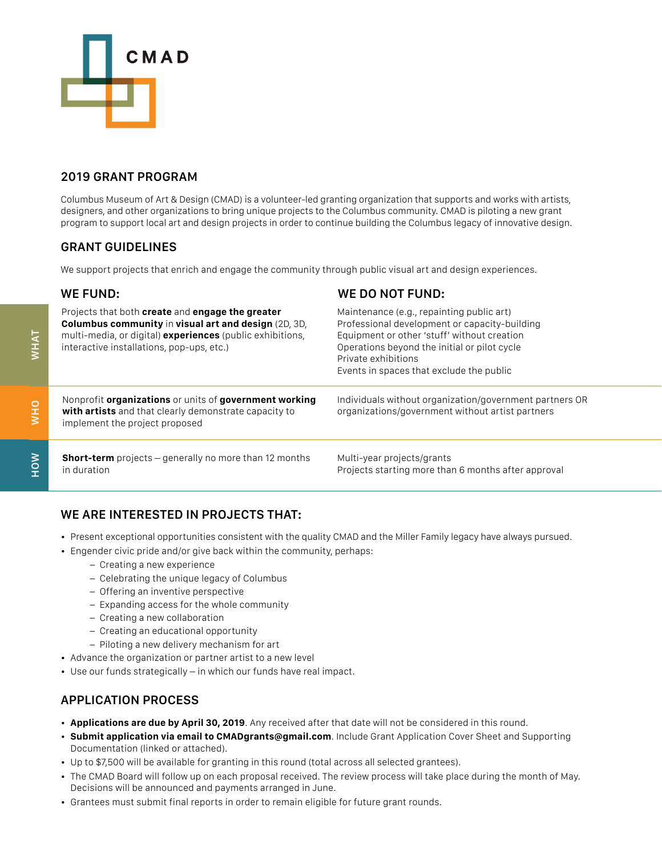

# **2019 GRANT PROGRAM**

Columbus Museum of Art & Design (CMAD) is a volunteer-led granting organization that supports and works with artists, designers, and other organizations to bring unique projects to the Columbus community. CMAD is piloting a new grant program to support local art and design projects in order to continue building the Columbus legacy of innovative design.

# **GRANT GUIDELINES**

We support projects that enrich and engage the community through public visual art and design experiences.

### **WE FUND: WE DO NOT FUND:**

| Projects that both create and engage the greater<br><b>Columbus community in visual art and design (2D, 3D,</b><br>multi-media, or digital) experiences (public exhibitions,<br>interactive installations, pop-ups, etc.) | Maintenance (e.g., repainting public art)<br>Professional development or capacity-building<br>Equipment or other 'stuff' without creation<br>Operations beyond the initial or pilot cycle<br>Private exhibitions<br>Events in spaces that exclude the public |
|---------------------------------------------------------------------------------------------------------------------------------------------------------------------------------------------------------------------------|--------------------------------------------------------------------------------------------------------------------------------------------------------------------------------------------------------------------------------------------------------------|
| Nonprofit organizations or units of government working<br>with artists and that clearly demonstrate capacity to<br>implement the project proposed                                                                         | Individuals without organization/government partners OR<br>organizations/government without artist partners                                                                                                                                                  |
| <b>Short-term</b> projects $-$ generally no more than 12 months<br>in duration                                                                                                                                            | Multi-year projects/grants<br>Projects starting more than 6 months after approval                                                                                                                                                                            |

# **WE ARE INTERESTED IN PROJECTS THAT:**

- Present exceptional opportunities consistent with the quality CMAD and the Miller Family legacy have always pursued.
- Engender civic pride and/or give back within the community, perhaps:
	- Creating a new experience
	- Celebrating the unique legacy of Columbus
	- Offering an inventive perspective
	- Expanding access for the whole community
	- Creating a new collaboration
	- Creating an educational opportunity
	- Piloting a new delivery mechanism for art
- Advance the organization or partner artist to a new level
- Use our funds strategically in which our funds have real impact.

# **APPLICATION PROCESS**

- **Applications are due by April 30, 2019**. Any received after that date will not be considered in this round.
- **Submit application via email to CMADgrants@gmail.com**. Include Grant Application Cover Sheet and Supporting Documentation (linked or attached).
- Up to \$7,500 will be available for granting in this round (total across all selected grantees).
- The CMAD Board will follow up on each proposal received. The review process will take place during the month of May. Decisions will be announced and payments arranged in June.
- Grantees must submit final reports in order to remain eligible for future grant rounds.

**HOW**